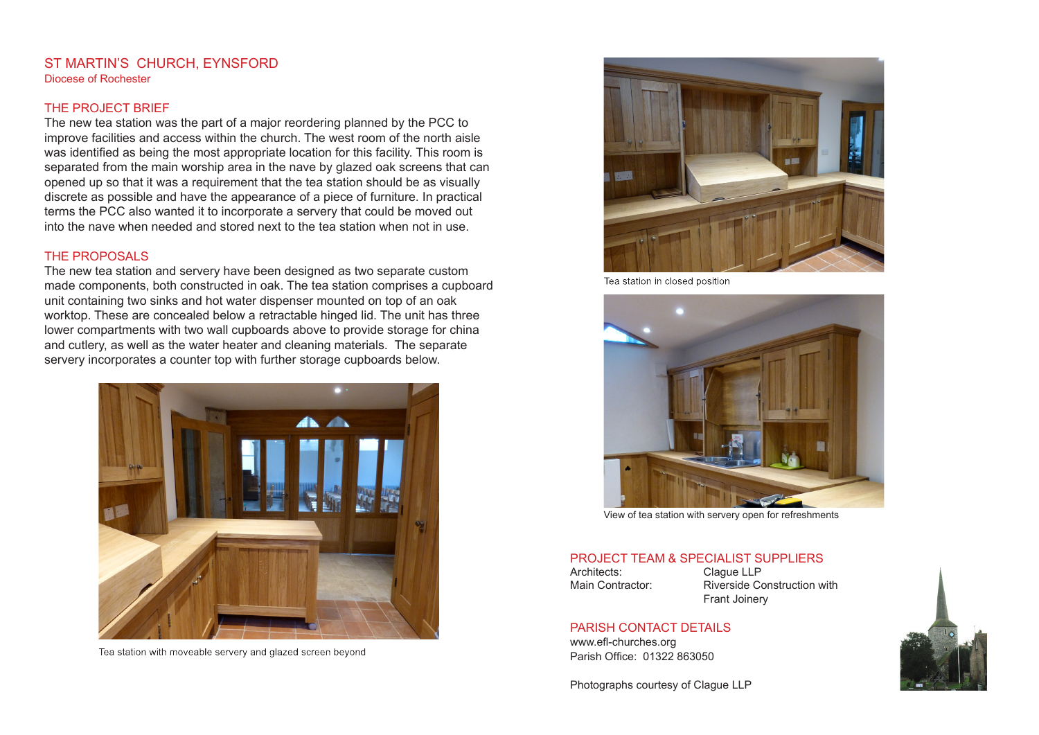#### ST MARTIN'S CHURCH, EYNSFORD Diocese of Rochester

## THE PROJECT BRIEF

The new tea station was the part of a major reordering planned by the PCC to improve facilities and access within the church. The west room of the north aisle was identified as being the most appropriate location for this facility. This room is separated from the main worship area in the nave by glazed oak screens that can opened up so that it was a requirement that the tea station should be as visually discrete as possible and have the appearance of a piece of furniture. In practical terms the PCC also wanted it to incorporate a servery that could be moved out into the nave when needed and stored next to the tea station when not in use.

## THE PROPOSALS

The new tea station and servery have been designed as two separate custom made components, both constructed in oak. The tea station comprises a cupboard unit containing two sinks and hot water dispenser mounted on top of an oak worktop. These are concealed below a retractable hinged lid. The unit has three lower compartments with two wall cupboards above to provide storage for china and cutlery, as well as the water heater and cleaning materials. The separate servery incorporates a counter top with further storage cupboards below.



Tea station with moveable servery and glazed screen beyond



Tea station in closed position



View of tea station with servery open for refreshments

# PROJECT TEAM & SPECIALIST SUPPLIERS

Architects: Clague LLP

Main Contractor: Riverside Construction with Frant Joinery

#### PARISH CONTACT DETAILS

www.efl-churches.org Parish Office: 01322 863050

Photographs courtesy of Clague LLP